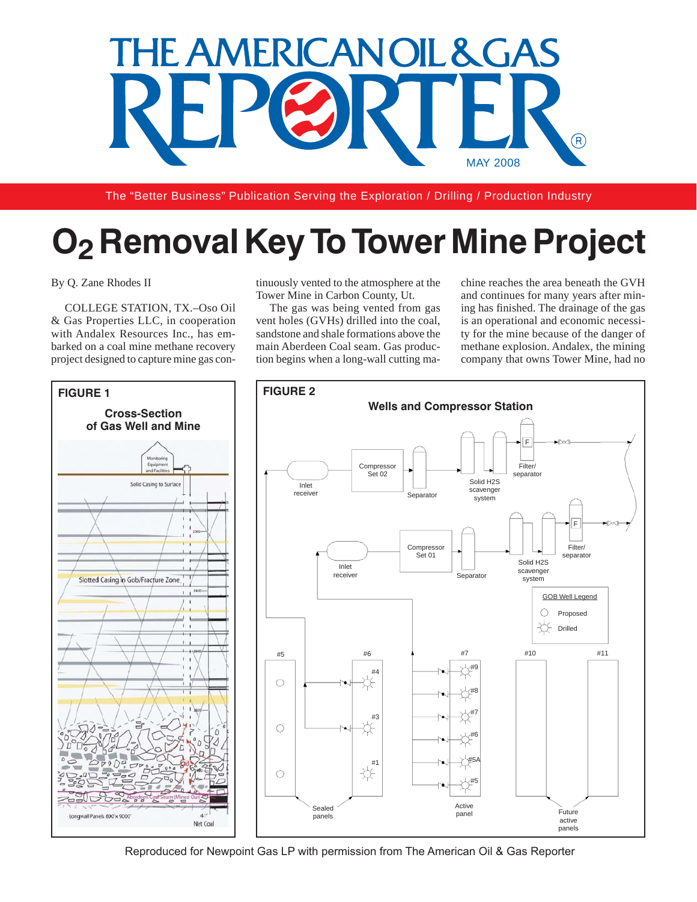

The "Better Business" Publication Serving the Exploration / Drilling / Production Industry

# **O2 Removal Key To Tower Mine Project**

By Q. Zane Rhodes II

COLLEGE STATION, TX.–Oso Oil & Gas Properties LLC, in cooperation with Andalex Resources Inc., has embarked on a coal mine methane recovery project designed to capture mine gas continuously vented to the atmosphere at the Tower Mine in Carbon County, Ut.

The gas was being vented from gas vent holes (GVHs) drilled into the coal, sandstone and shale formations above the main Aberdeen Coal seam. Gas production begins when a long-wall cutting ma-

chine reaches the area beneath the GVH and continues for many years after mining has finished. The drainage of the gas is an operational and economic necessity for the mine because of the danger of methane explosion. Andalex, the mining company that owns Tower Mine, had no



Reproduced for Newpoint Gas LP with permission from The American Oil & Gas Reporter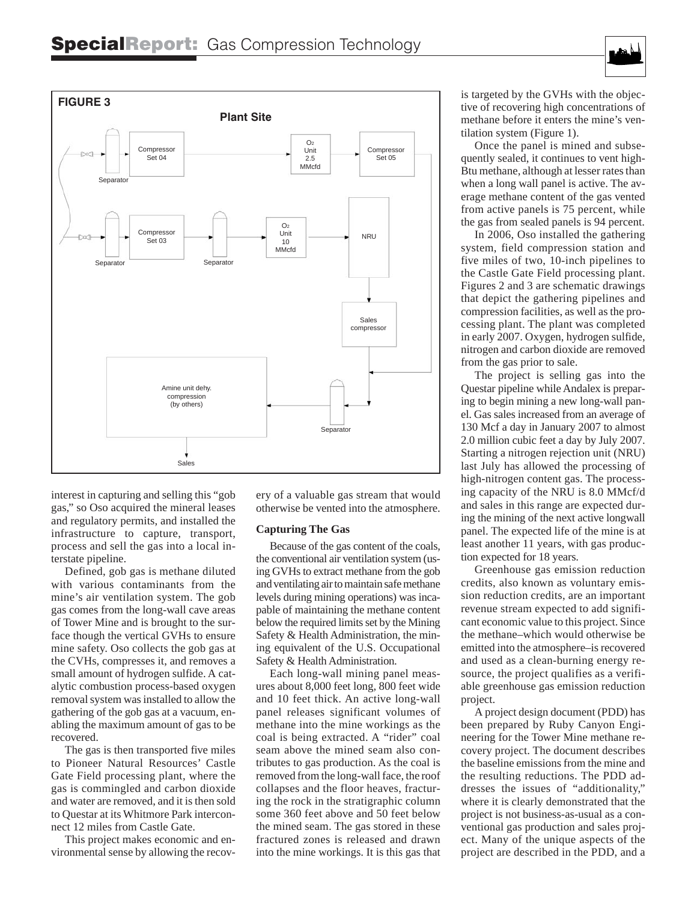



interest in capturing and selling this "gob gas," so Oso acquired the mineral leases and regulatory permits, and installed the infrastructure to capture, transport, process and sell the gas into a local interstate pipeline.

Defined, gob gas is methane diluted with various contaminants from the mine's air ventilation system. The gob gas comes from the long-wall cave areas of Tower Mine and is brought to the surface though the vertical GVHs to ensure mine safety. Oso collects the gob gas at the CVHs, compresses it, and removes a small amount of hydrogen sulfide. A catalytic combustion process-based oxygen removal system was installed to allow the gathering of the gob gas at a vacuum, enabling the maximum amount of gas to be recovered.

The gas is then transported five miles to Pioneer Natural Resources' Castle Gate Field processing plant, where the gas is commingled and carbon dioxide and water are removed, and it is then sold to Questar at its Whitmore Park interconnect 12 miles from Castle Gate.

This project makes economic and environmental sense by allowing the recovery of a valuable gas stream that would otherwise be vented into the atmosphere.

## **Capturing The Gas**

Because of the gas content of the coals, the conventional air ventilation system (using GVHs to extract methane from the gob and ventilating air to maintain safe methane levels during mining operations) was incapable of maintaining the methane content below the required limits set by the Mining Safety & Health Administration, the mining equivalent of the U.S. Occupational Safety & Health Administration.

Each long-wall mining panel measures about 8,000 feet long, 800 feet wide and 10 feet thick. An active long-wall panel releases significant volumes of methane into the mine workings as the coal is being extracted. A "rider" coal seam above the mined seam also contributes to gas production. As the coal is removed from the long-wall face, the roof collapses and the floor heaves, fracturing the rock in the stratigraphic column some 360 feet above and 50 feet below the mined seam. The gas stored in these fractured zones is released and drawn into the mine workings. It is this gas that

is targeted by the GVHs with the objective of recovering high concentrations of methane before it enters the mine's ventilation system (Figure 1).

Once the panel is mined and subsequently sealed, it continues to vent high-Btu methane, although at lesser rates than when a long wall panel is active. The average methane content of the gas vented from active panels is 75 percent, while the gas from sealed panels is 94 percent.

In 2006, Oso installed the gathering system, field compression station and five miles of two, 10-inch pipelines to the Castle Gate Field processing plant. Figures 2 and 3 are schematic drawings that depict the gathering pipelines and compression facilities, as well as the processing plant. The plant was completed in early 2007. Oxygen, hydrogen sulfide, nitrogen and carbon dioxide are removed from the gas prior to sale.

The project is selling gas into the Questar pipeline while Andalex is preparing to begin mining a new long-wall panel. Gas sales increased from an average of 130 Mcf a day in January 2007 to almost 2.0 million cubic feet a day by July 2007. Starting a nitrogen rejection unit (NRU) last July has allowed the processing of high-nitrogen content gas. The processing capacity of the NRU is 8.0 MMcf/d and sales in this range are expected during the mining of the next active longwall panel. The expected life of the mine is at least another 11 years, with gas production expected for 18 years.

Greenhouse gas emission reduction credits, also known as voluntary emission reduction credits, are an important revenue stream expected to add significant economic value to this project. Since the methane–which would otherwise be emitted into the atmosphere–is recovered and used as a clean-burning energy resource, the project qualifies as a verifiable greenhouse gas emission reduction project.

A project design document (PDD) has been prepared by Ruby Canyon Engineering for the Tower Mine methane recovery project. The document describes the baseline emissions from the mine and the resulting reductions. The PDD addresses the issues of "additionality," where it is clearly demonstrated that the project is not business-as-usual as a conventional gas production and sales project. Many of the unique aspects of the project are described in the PDD, and a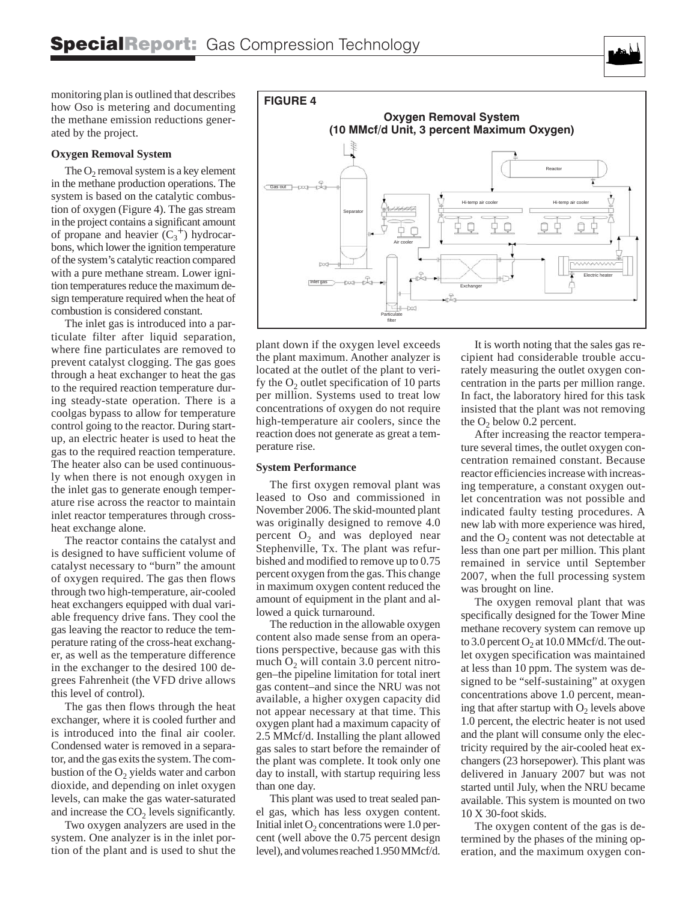monitoring plan is outlined that describes how Oso is metering and documenting the methane emission reductions generated by the project.

### **Oxygen Removal System**

The  $O<sub>2</sub>$  removal system is a key element in the methane production operations. The system is based on the catalytic combustion of oxygen (Figure 4). The gas stream in the project contains a significant amount of propane and heavier  $(C_3^+)$  hydrocarbons, which lower the ignition temperature of the system's catalytic reaction compared with a pure methane stream. Lower ignition temperatures reduce the maximum design temperature required when the heat of combustion is considered constant.

The inlet gas is introduced into a particulate filter after liquid separation, where fine particulates are removed to prevent catalyst clogging. The gas goes through a heat exchanger to heat the gas to the required reaction temperature during steady-state operation. There is a coolgas bypass to allow for temperature control going to the reactor. During startup, an electric heater is used to heat the gas to the required reaction temperature. The heater also can be used continuously when there is not enough oxygen in the inlet gas to generate enough temperature rise across the reactor to maintain inlet reactor temperatures through crossheat exchange alone.

The reactor contains the catalyst and is designed to have sufficient volume of catalyst necessary to "burn" the amount of oxygen required. The gas then flows through two high-temperature, air-cooled heat exchangers equipped with dual variable frequency drive fans. They cool the gas leaving the reactor to reduce the temperature rating of the cross-heat exchanger, as well as the temperature difference in the exchanger to the desired 100 degrees Fahrenheit (the VFD drive allows this level of control).

The gas then flows through the heat exchanger, where it is cooled further and is introduced into the final air cooler. Condensed water is removed in a separator, and the gas exits the system. The combustion of the  $O<sub>2</sub>$  yields water and carbon dioxide, and depending on inlet oxygen levels, can make the gas water-saturated and increase the  $CO<sub>2</sub>$  levels significantly.

Two oxygen analyzers are used in the system. One analyzer is in the inlet portion of the plant and is used to shut the



plant down if the oxygen level exceeds the plant maximum. Another analyzer is located at the outlet of the plant to verify the  $O_2$  outlet specification of 10 parts per million. Systems used to treat low concentrations of oxygen do not require high-temperature air coolers, since the reaction does not generate as great a temperature rise.

#### **System Performance**

The first oxygen removal plant was leased to Oso and commissioned in November 2006. The skid-mounted plant was originally designed to remove 4.0 percent  $O_2$  and was deployed near Stephenville, Tx. The plant was refurbished and modified to remove up to 0.75 percent oxygen from the gas. This change in maximum oxygen content reduced the amount of equipment in the plant and allowed a quick turnaround.

The reduction in the allowable oxygen content also made sense from an operations perspective, because gas with this much  $O_2$  will contain 3.0 percent nitrogen–the pipeline limitation for total inert gas content–and since the NRU was not available, a higher oxygen capacity did not appear necessary at that time. This oxygen plant had a maximum capacity of 2.5 MMcf/d. Installing the plant allowed gas sales to start before the remainder of the plant was complete. It took only one day to install, with startup requiring less than one day.

This plant was used to treat sealed panel gas, which has less oxygen content. Initial inlet  $O_2$  concentrations were 1.0 percent (well above the 0.75 percent design level), and volumes reached 1.950 MMcf/d.

It is worth noting that the sales gas recipient had considerable trouble accurately measuring the outlet oxygen concentration in the parts per million range. In fact, the laboratory hired for this task insisted that the plant was not removing the  $O_2$  below 0.2 percent.

After increasing the reactor temperature several times, the outlet oxygen concentration remained constant. Because reactor efficiencies increase with increasing temperature, a constant oxygen outlet concentration was not possible and indicated faulty testing procedures. A new lab with more experience was hired, and the  $O_2$  content was not detectable at less than one part per million. This plant remained in service until September 2007, when the full processing system was brought on line.

The oxygen removal plant that was specifically designed for the Tower Mine methane recovery system can remove up to 3.0 percent  $O_2$  at 10.0 MMcf/d. The outlet oxygen specification was maintained at less than 10 ppm. The system was designed to be "self-sustaining" at oxygen concentrations above 1.0 percent, meaning that after startup with  $O_2$  levels above 1.0 percent, the electric heater is not used and the plant will consume only the electricity required by the air-cooled heat exchangers (23 horsepower). This plant was delivered in January 2007 but was not started until July, when the NRU became available. This system is mounted on two 10 X 30-foot skids.

The oxygen content of the gas is determined by the phases of the mining operation, and the maximum oxygen con-